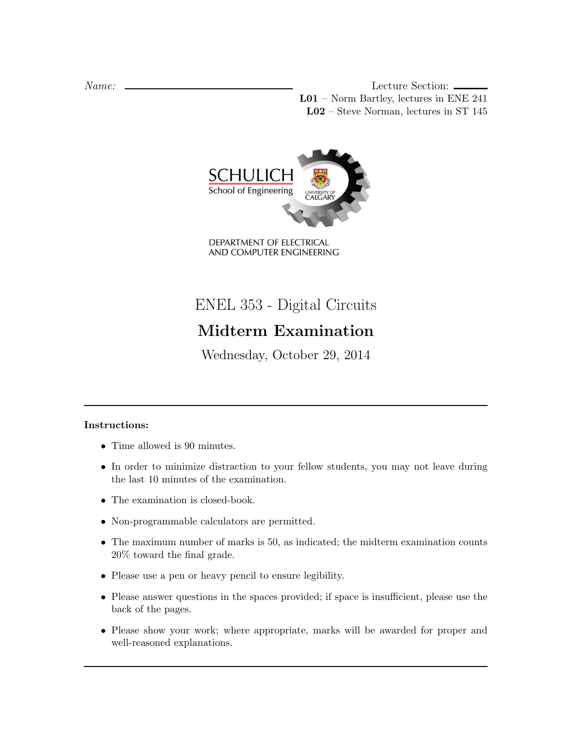Name: Lecture Section: L01 – Norm Bartley, lectures in ENE 241 L02 – Steve Norman, lectures in ST 145



DEPARTMENT OF ELECTRICAL AND COMPUTER ENGINEERING

ENEL 353 - Digital Circuits

# Midterm Examination

Wednesday, October 29, 2014

## Instructions:

- Time allowed is 90 minutes.
- In order to minimize distraction to your fellow students, you may not leave during the last 10 minutes of the examination.
- The examination is closed-book.
- Non-programmable calculators are permitted.
- The maximum number of marks is 50, as indicated; the midterm examination counts 20% toward the final grade.
- Please use a pen or heavy pencil to ensure legibility.
- Please answer questions in the spaces provided; if space is insufficient, please use the back of the pages.
- Please show your work; where appropriate, marks will be awarded for proper and well-reasoned explanations.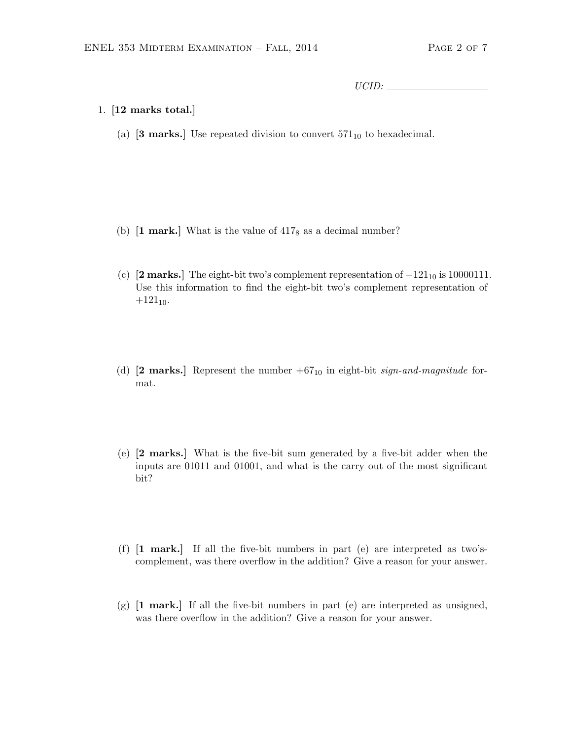UCID:

- 1. [12 marks total.]
	- (a) [3 marks.] Use repeated division to convert  $571_{10}$  to hexadecimal.

- (b)  $\begin{bmatrix} 1 \text{ mark.} \end{bmatrix}$  What is the value of  $417_8$  as a decimal number?
- (c) [2 marks.] The eight-bit two's complement representation of  $-121_{10}$  is 10000111. Use this information to find the eight-bit two's complement representation of  $+121_{10}$ .
- (d)  $[2 \text{ marks.}]$  Represent the number  $+67_{10}$  in eight-bit sign-and-magnitude format.
- (e) [2 marks.] What is the five-bit sum generated by a five-bit adder when the inputs are 01011 and 01001, and what is the carry out of the most significant bit?
- (f) [1 mark.] If all the five-bit numbers in part (e) are interpreted as two'scomplement, was there overflow in the addition? Give a reason for your answer.
- $(g)$  [1 mark.] If all the five-bit numbers in part (e) are interpreted as unsigned, was there overflow in the addition? Give a reason for your answer.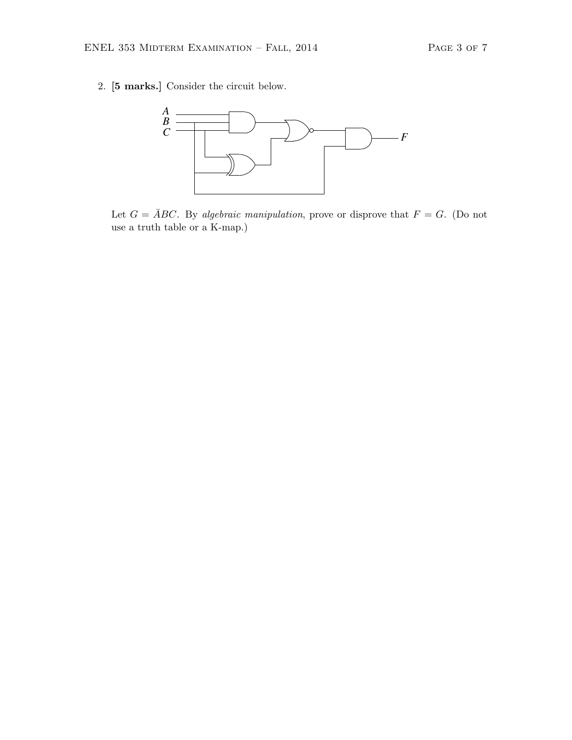2. [5 marks.] Consider the circuit below.



Let  $G = \overline{A}BC$ . By algebraic manipulation, prove or disprove that  $F = G$ . (Do not use a truth table or a K-map.)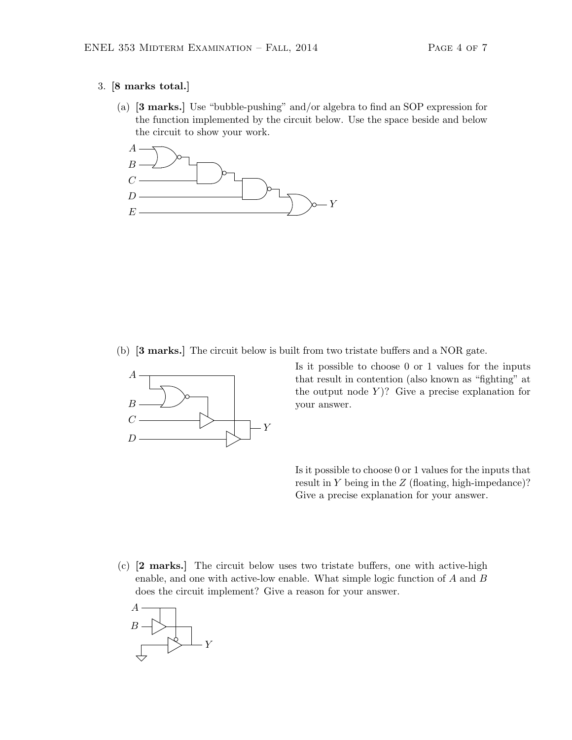#### 3. [8 marks total.]

(a) [3 marks.] Use "bubble-pushing" and/or algebra to find an SOP expression for the function implemented by the circuit below. Use the space beside and below the circuit to show your work.



(b) [3 marks.] The circuit below is built from two tristate buffers and a NOR gate.



Is it possible to choose 0 or 1 values for the inputs that result in contention (also known as "fighting" at the output node  $Y$ ? Give a precise explanation for your answer.

Is it possible to choose 0 or 1 values for the inputs that result in  $Y$  being in the  $Z$  (floating, high-impedance)? Give a precise explanation for your answer.

(c) [2 marks.] The circuit below uses two tristate buffers, one with active-high enable, and one with active-low enable. What simple logic function of A and B does the circuit implement? Give a reason for your answer.

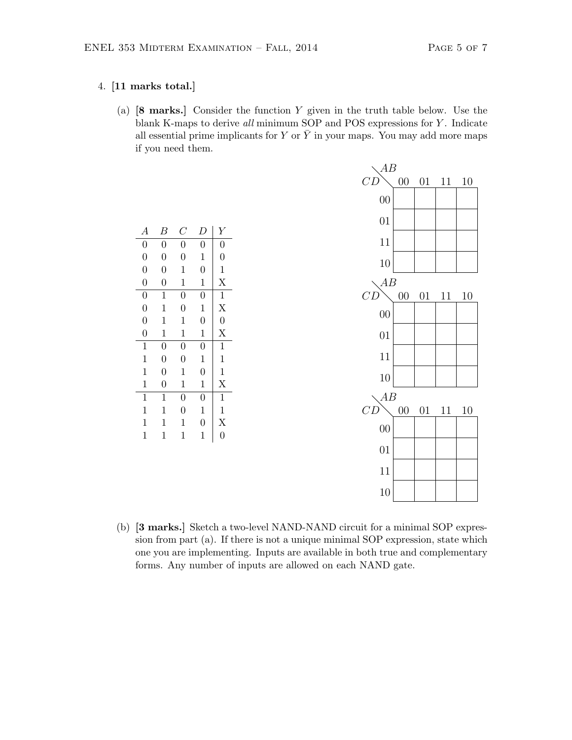### 4. [11 marks total.]

(a) [8 marks.] Consider the function Y given in the truth table below. Use the blank K-maps to derive all minimum SOP and POS expressions for Y. Indicate all essential prime implicants for Y or  $\bar{Y}$  in your maps. You may add more maps if you need them.

| $\boldsymbol{A}$ | В                | $\mathcal{C}_{0}^{(n)}$ | D                | Υ                       |
|------------------|------------------|-------------------------|------------------|-------------------------|
| $\boldsymbol{0}$ | $\boldsymbol{0}$ | $\overline{0}$          | $\boldsymbol{0}$ | $\overline{0}$          |
| $\overline{0}$   | $\overline{0}$   | $\overline{0}$          | $\mathbf{1}$     | $\overline{0}$          |
| $\overline{0}$   | $\overline{0}$   | $\mathbf{1}$            | $\overline{0}$   | $\mathbf{1}$            |
| $\overline{0}$   | $\overline{0}$   | $\mathbf{1}$            | $\mathbf{1}$     | X                       |
| $\overline{0}$   | 1                | $\overline{0}$          | $\overline{0}$   | $\mathbf{1}$            |
| $\overline{0}$   | 1                | $\overline{0}$          | $\mathbf{1}$     | X                       |
| $\overline{0}$   | 1                | 1                       | $\overline{0}$   | $\overline{0}$          |
| $\overline{0}$   | 1                | 1                       | 1                | $\overline{\mathrm{X}}$ |
| $\mathbf 1$      | $\overline{0}$   | $\overline{0}$          | $\overline{0}$   | $\mathbf 1$             |
| $\mathbf 1$      | $\overline{0}$   | $\overline{0}$          | $\mathbf{1}$     | 1                       |
| $\mathbf{1}$     | $\overline{0}$   | 1                       | $\overline{0}$   | $\mathbf{1}$            |
| $\mathbf 1$      | $\overline{0}$   | $\mathbf{1}$            | $\mathbf{1}$     | X                       |
| $\mathbf 1$      | $\mathbf 1$      | $\overline{0}$          | $\overline{0}$   | $\mathbf{1}$            |
| $\mathbf 1$      | 1                | $\overline{0}$          | $\mathbf{1}$     | 1                       |
| $\mathbf 1$      | 1                | 1                       | $\boldsymbol{0}$ | X                       |
| 1                | 1                | 1                       | $\mathbf 1$      | $\overline{0}$          |
|                  |                  |                         |                  |                         |

| AB              |        |    |                      |    |
|-----------------|--------|----|----------------------|----|
| CD              | $00\,$ |    | $01\quad 11\quad 10$ |    |
| 00              |        |    |                      |    |
| 01              |        |    |                      |    |
| 11              |        |    |                      |    |
| 10              |        |    |                      |    |
| AB              |        |    |                      |    |
| CD              | $00\,$ | 01 | 11                   | 10 |
| 00              |        |    |                      |    |
| 01              |        |    |                      |    |
| 11              |        |    |                      |    |
| 10              |        |    |                      |    |
| AB              |        |    |                      |    |
| CD              | $00\,$ | 01 | 11                   | 10 |
| $\overline{00}$ |        |    |                      |    |
| 01              |        |    |                      |    |
| 11              |        |    |                      |    |
| 10              |        |    |                      |    |

(b) [3 marks.] Sketch a two-level NAND-NAND circuit for a minimal SOP expression from part (a). If there is not a unique minimal SOP expression, state which one you are implementing. Inputs are available in both true and complementary forms. Any number of inputs are allowed on each NAND gate.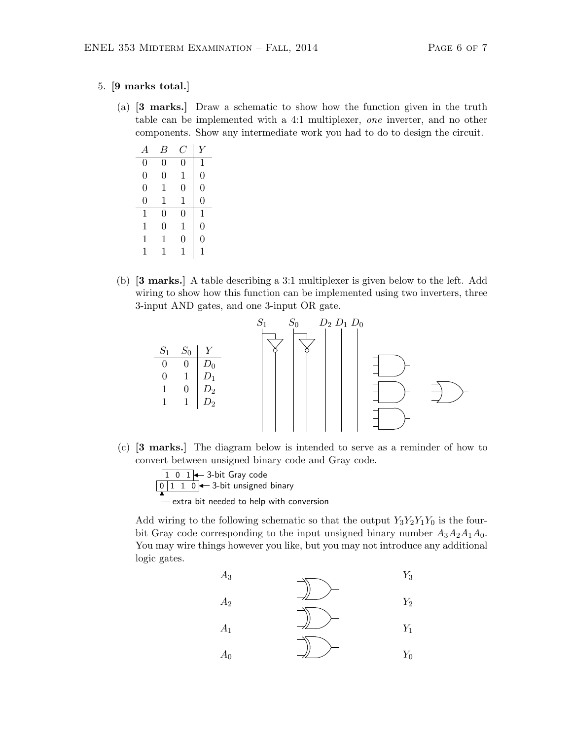#### 5. [9 marks total.]

(a) [3 marks.] Draw a schematic to show how the function given in the truth table can be implemented with a 4:1 multiplexer, one inverter, and no other components. Show any intermediate work you had to do to design the circuit.

| A              | В              | Ü | Y              |
|----------------|----------------|---|----------------|
| $\overline{0}$ | $\overline{0}$ | 0 | 1              |
| $\overline{0}$ | $\overline{0}$ | 1 | $\overline{0}$ |
| $\overline{0}$ | 1              | 0 | $\overline{0}$ |
| $\overline{0}$ | 1              | 1 | $\overline{0}$ |
| 1              | 0              | 0 | 1              |
| 1              | $\overline{0}$ | 1 | $\overline{0}$ |
| 1              | 1              | 0 | $\overline{0}$ |
| 1              | 1              | 1 | 1              |

(b) [3 marks.] A table describing a 3:1 multiplexer is given below to the left. Add wiring to show how this function can be implemented using two inverters, three 3-input AND gates, and one 3-input OR gate.



(c) [3 marks.] The diagram below is intended to serve as a reminder of how to convert between unsigned binary code and Gray code.



Add wiring to the following schematic so that the output  $Y_3Y_2Y_1Y_0$  is the fourbit Gray code corresponding to the input unsigned binary number  $A_3A_2A_1A_0$ . You may wire things however you like, but you may not introduce any additional logic gates.